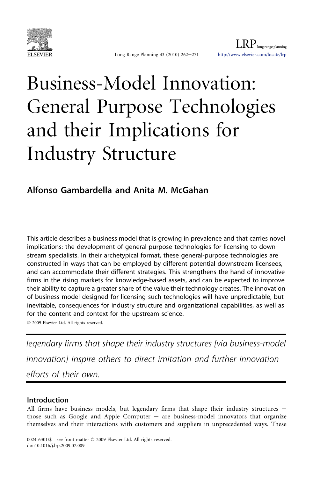

Long Range Planning 43 (2010) 262-271 <http://www.elsevier.com/locate/lrp>

# Business-Model Innovation: General Purpose Technologies and their Implications for Industry Structure

### Alfonso Gambardella and Anita M. McGahan

This article describes a business model that is growing in prevalence and that carries novel implications: the development of general-purpose technologies for licensing to downstream specialists. In their archetypical format, these general-purpose technologies are constructed in ways that can be employed by different potential downstream licensees, and can accommodate their different strategies. This strengthens the hand of innovative firms in the rising markets for knowledge-based assets, and can be expected to improve their ability to capture a greater share of the value their technology creates. The innovation of business model designed for licensing such technologies will have unpredictable, but inevitable, consequences for industry structure and organizational capabilities, as well as for the content and context for the upstream science.

- 2009 Elsevier Ltd. All rights reserved.

legendary firms that shape their industry structures [via business-model innovation] inspire others to direct imitation and further innovation efforts of their own.

#### Introduction

All firms have business models, but legendary firms that shape their industry structures  $$ those such as Google and Apple Computer  $-$  are business-model innovators that organize themselves and their interactions with customers and suppliers in unprecedented ways. These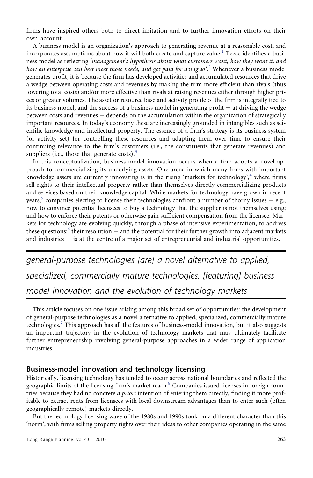firms have inspired others both to direct imitation and to further innovation efforts on their own account.

A business model is an organization's approach to generating revenue at a reasonable cost, and incorporates assumptions about how it will both create and capture value.<sup>1</sup> Teece identifies a business model as reflecting 'management's hypothesis about what customers want, how they want it, and how an enterprise can best meet those needs, and get paid for doing so'.<sup>[2](#page--1-0)</sup> Whenever a business model generates profit, it is because the firm has developed activities and accumulated resources that drive a wedge between operating costs and revenues by making the firm more efficient than rivals (thus lowering total costs) and/or more effective than rivals at raising revenues either through higher prices or greater volumes. The asset or resource base and activity profile of the firm is integrally tied to its business model, and the success of a business model in generating profit  $-$  at driving the wedge between costs and revenues  $-$  depends on the accumulation within the organization of strategically important resources. In today's economy these are increasingly grounded in intangibles such as scientific knowledge and intellectual property. The essence of a firm's strategy is its business system (or activity set) for controlling these resources and adapting them over time to ensure their continuing relevance to the firm's customers (i.e., the constituents that generate revenues) and suppliers (i.e., those that generate costs). $3$ 

In this conceptualization, business-model innovation occurs when a firm adopts a novel approach to commercializing its underlying assets. One arena in which many firms with important knowledge assets are currently innovating is in the rising 'markets for technology', $4$  where firms sell rights to their intellectual property rather than themselves directly commercializing products and services based on their knowledge capital. While markets for technology have grown in recent years,<sup>[5](#page--1-0)</sup> companies electing to license their technologies confront a number of thorny issues  $-$  e.g., how to convince potential licensees to buy a technology that the supplier is not themselves using; and how to enforce their patents or otherwise gain sufficient compensation from the licensee. Markets for technology are evolving quickly, through a phase of intensive experimentation, to address these questions: $6$  their resolution  $-$  and the potential for their further growth into adjacent markets and industries  $-$  is at the centre of a major set of entrepreneurial and industrial opportunities.

general-purpose technologies [are] a novel alternative to applied, specialized, commercially mature technologies, [featuring] businessmodel innovation and the evolution of technology markets

This article focuses on one issue arising among this broad set of opportunities: the development of general-purpose technologies as a novel alternative to applied, specialized, commercially mature technologies.[7](#page--1-0) This approach has all the features of business-model innovation, but it also suggests an important trajectory in the evolution of technology markets that may ultimately facilitate further entrepreneurship involving general-purpose approaches in a wider range of application industries.

#### Business-model innovation and technology licensing

Historically, licensing technology has tended to occur across national boundaries and reflected the geographic limits of the licensing firm's market reach.<sup>[8](#page--1-0)</sup> Companies issued licenses in foreign countries because they had no concrete *a priori* intention of entering them directly, finding it more profitable to extract rents from licensees with local downstream advantages than to enter such (often geographically remote) markets directly.

But the technology licensing wave of the 1980s and 1990s took on a different character than this 'norm', with firms selling property rights over their ideas to other companies operating in the same